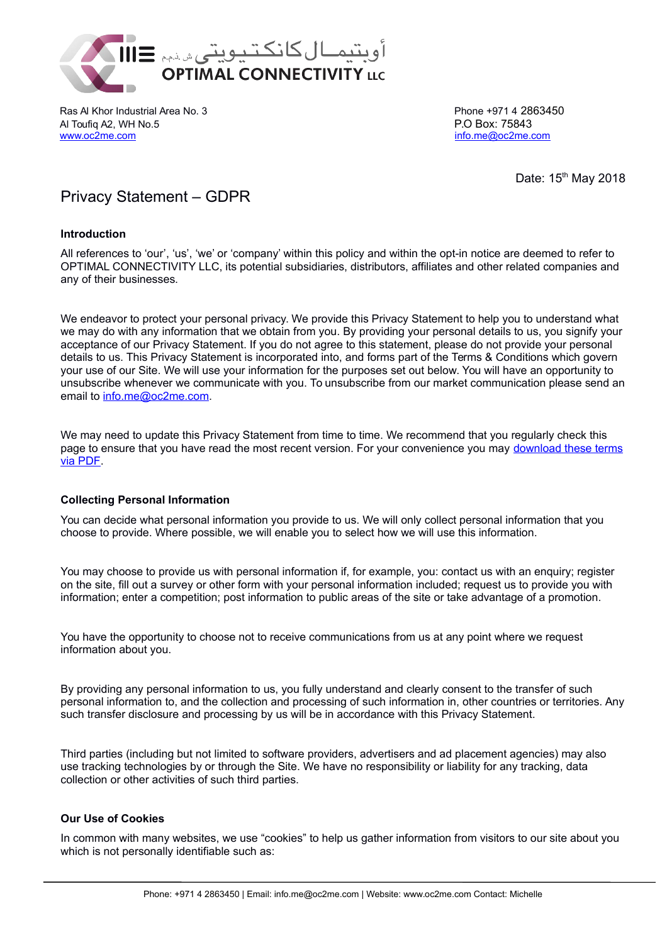

Ras Al Khor Industrial Area No. 3 **Phone +971 4 2863450** Phone +971 4 2863450 Al Toufiq A2, WH No.5 P.O Box: 75843 [www.oc2me.com](http://www.oc2me.com/) [info.me@oc2me.com](mailto:info.me@oc2me.com) info.me@oc2me.com

Date: 15<sup>th</sup> May 2018

# Privacy Statement – GDPR

# **Introduction**

All references to 'our', 'us', 'we' or 'company' within this policy and within the opt-in notice are deemed to refer to OPTIMAL CONNECTIVITY LLC, its potential subsidiaries, distributors, affiliates and other related companies and any of their businesses.

We endeavor to protect your personal privacy. We provide this Privacy Statement to help you to understand what we may do with any information that we obtain from you. By providing your personal details to us, you signify your acceptance of our Privacy Statement. If you do not agree to this statement, please do not provide your personal details to us. This Privacy Statement is incorporated into, and forms part of the Terms & Conditions which govern your use of our Site. We will use your information for the purposes set out below. You will have an opportunity to unsubscribe whenever we communicate with you. To unsubscribe from our market communication please send an email to [info.me@oc2me.com.](mailto:info.me@oc2me.com)

We may need to update this Privacy Statement from time to time. We recommend that you regularly check this page to ensure that you have read the most recent version. For your convenience you may [download these terms](https://www.oc2me.com/wp-content/uploads/2018/08/OC_Privacy_20052018.pdf) [via PDF.](https://www.oc2me.com/wp-content/uploads/2018/08/OC_Privacy_20052018.pdf)

# **Collecting Personal Information**

You can decide what personal information you provide to us. We will only collect personal information that you choose to provide. Where possible, we will enable you to select how we will use this information.

You may choose to provide us with personal information if, for example, you: contact us with an enquiry; register on the site, fill out a survey or other form with your personal information included; request us to provide you with information; enter a competition; post information to public areas of the site or take advantage of a promotion.

You have the opportunity to choose not to receive communications from us at any point where we request information about you.

By providing any personal information to us, you fully understand and clearly consent to the transfer of such personal information to, and the collection and processing of such information in, other countries or territories. Any such transfer disclosure and processing by us will be in accordance with this Privacy Statement.

Third parties (including but not limited to software providers, advertisers and ad placement agencies) may also use tracking technologies by or through the Site. We have no responsibility or liability for any tracking, data collection or other activities of such third parties.

# **Our Use of Cookies**

In common with many websites, we use "cookies" to help us gather information from visitors to our site about you which is not personally identifiable such as:

I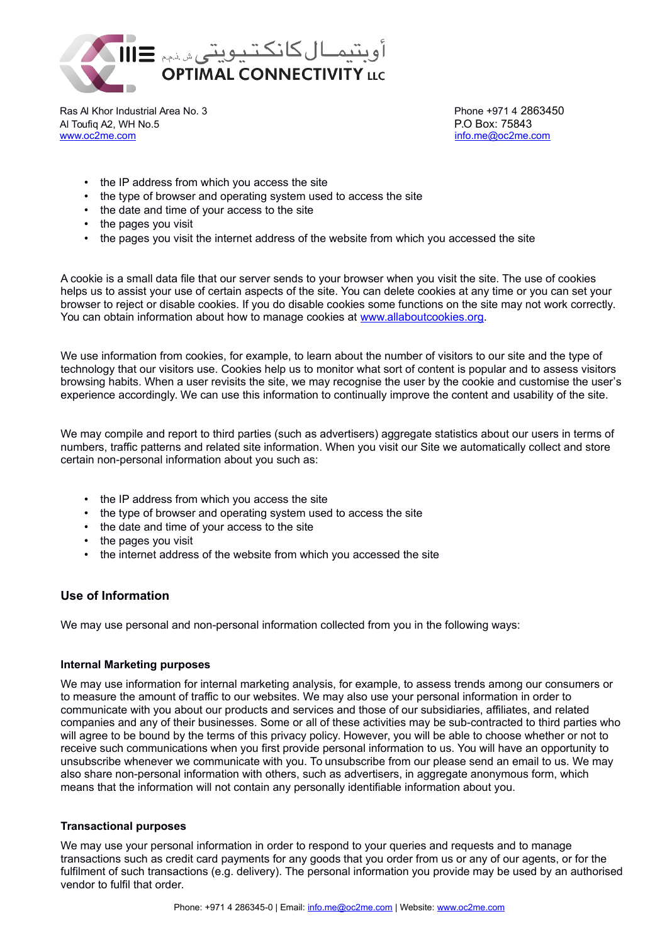

Ras Al Khor Industrial Area No. 3 **Phone +971 4 2863450** Phone +971 4 2863450 Al Toufiq A2, WH No.5 P.O Box: 75843 [www.oc2me.com](http://www.oc2me.com/) [info.me@oc2me.com](mailto:info.me@oc2me.com) info.me@oc2me.com

- the IP address from which you access the site
- the type of browser and operating system used to access the site
- the date and time of your access to the site
- the pages you visit
- the pages you visit the internet address of the website from which you accessed the site

A cookie is a small data file that our server sends to your browser when you visit the site. The use of cookies helps us to assist your use of certain aspects of the site. You can delete cookies at any time or you can set your browser to reject or disable cookies. If you do disable cookies some functions on the site may not work correctly. You can obtain information about how to manage cookies at [www.allaboutcookies.org.](http://www.allaboutcookies.org/)

We use information from cookies, for example, to learn about the number of visitors to our site and the type of technology that our visitors use. Cookies help us to monitor what sort of content is popular and to assess visitors browsing habits. When a user revisits the site, we may recognise the user by the cookie and customise the user's experience accordingly. We can use this information to continually improve the content and usability of the site.

We may compile and report to third parties (such as advertisers) aggregate statistics about our users in terms of numbers, traffic patterns and related site information. When you visit our Site we automatically collect and store certain non-personal information about you such as:

- the IP address from which you access the site
- the type of browser and operating system used to access the site
- the date and time of your access to the site
- the pages you visit
- the internet address of the website from which you accessed the site

# **Use of Information**

We may use personal and non-personal information collected from you in the following ways:

# **Internal Marketing purposes**

We may use information for internal marketing analysis, for example, to assess trends among our consumers or to measure the amount of traffic to our websites. We may also use your personal information in order to communicate with you about our products and services and those of our subsidiaries, affiliates, and related companies and any of their businesses. Some or all of these activities may be sub-contracted to third parties who will agree to be bound by the terms of this privacy policy. However, you will be able to choose whether or not to receive such communications when you first provide personal information to us. You will have an opportunity to unsubscribe whenever we communicate with you. To unsubscribe from our please send an email to us. We may also share non-personal information with others, such as advertisers, in aggregate anonymous form, which means that the information will not contain any personally identifiable information about you.

## **Transactional purposes**

We may use your personal information in order to respond to your queries and requests and to manage transactions such as credit card payments for any goods that you order from us or any of our agents, or for the fulfilment of such transactions (e.g. delivery). The personal information you provide may be used by an authorised vendor to fulfil that order.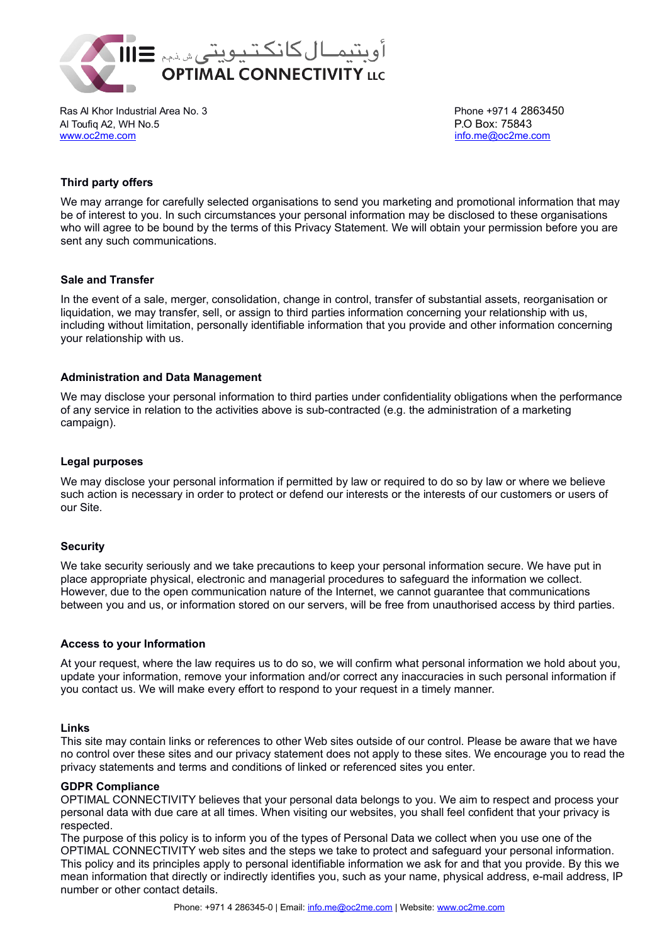

Ras Al Khor Industrial Area No. 3 Phone +971 4 2863450 Al Toufiq A2, WH No.5 P.O Box: 75843 [www.oc2me.com](http://www.oc2me.com/) [info.me@oc2me.com](mailto:info.me@oc2me.com) info.me@oc2me.com

# **Third party offers**

We may arrange for carefully selected organisations to send you marketing and promotional information that may be of interest to you. In such circumstances your personal information may be disclosed to these organisations who will agree to be bound by the terms of this Privacy Statement. We will obtain your permission before you are sent any such communications.

## **Sale and Transfer**

In the event of a sale, merger, consolidation, change in control, transfer of substantial assets, reorganisation or liquidation, we may transfer, sell, or assign to third parties information concerning your relationship with us, including without limitation, personally identifiable information that you provide and other information concerning your relationship with us.

## **Administration and Data Management**

We may disclose your personal information to third parties under confidentiality obligations when the performance of any service in relation to the activities above is sub-contracted (e.g. the administration of a marketing campaign).

## **Legal purposes**

We may disclose your personal information if permitted by law or required to do so by law or where we believe such action is necessary in order to protect or defend our interests or the interests of our customers or users of our Site.

# **Security**

We take security seriously and we take precautions to keep your personal information secure. We have put in place appropriate physical, electronic and managerial procedures to safeguard the information we collect. However, due to the open communication nature of the Internet, we cannot guarantee that communications between you and us, or information stored on our servers, will be free from unauthorised access by third parties.

## **Access to your Information**

At your request, where the law requires us to do so, we will confirm what personal information we hold about you, update your information, remove your information and/or correct any inaccuracies in such personal information if you contact us. We will make every effort to respond to your request in a timely manner.

## **Links**

This site may contain links or references to other Web sites outside of our control. Please be aware that we have no control over these sites and our privacy statement does not apply to these sites. We encourage you to read the privacy statements and terms and conditions of linked or referenced sites you enter.

## **GDPR Compliance**

OPTIMAL CONNECTIVITY believes that your personal data belongs to you. We aim to respect and process your personal data with due care at all times. When visiting our websites, you shall feel confident that your privacy is respected.

The purpose of this policy is to inform you of the types of Personal Data we collect when you use one of the OPTIMAL CONNECTIVITY web sites and the steps we take to protect and safeguard your personal information. This policy and its principles apply to personal identifiable information we ask for and that you provide. By this we mean information that directly or indirectly identifies you, such as your name, physical address, e-mail address, IP number or other contact details.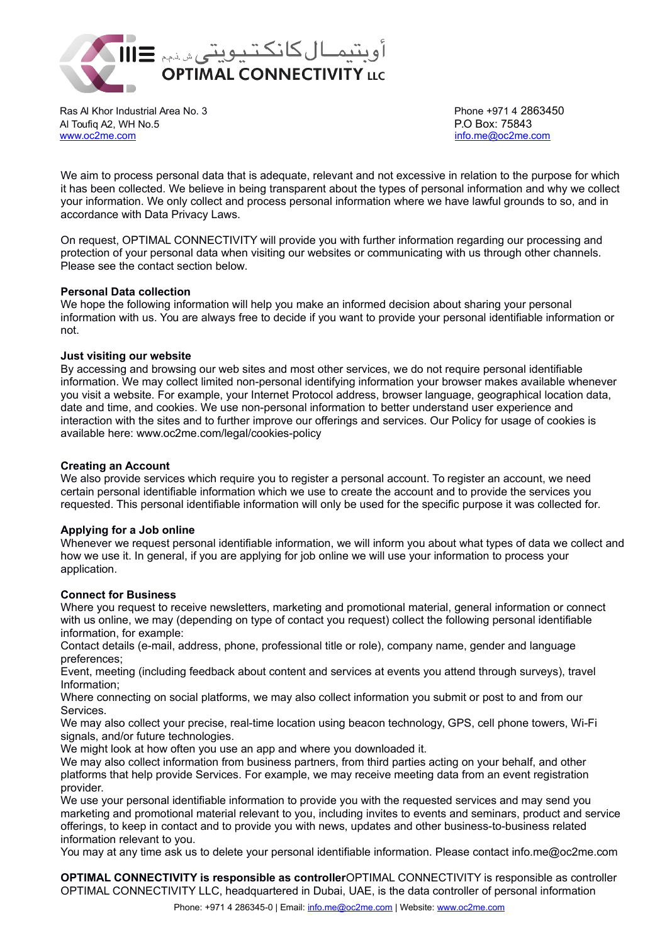

Ras Al Khor Industrial Area No. 3 **Phone +971 4 2863450** Phone +971 4 2863450 Al Toufiq A2, WH No.5 P.O Box: 75843 [www.oc2me.com](http://www.oc2me.com/) [info.me@oc2me.com](mailto:info.me@oc2me.com) info.me@oc2me.com

We aim to process personal data that is adequate, relevant and not excessive in relation to the purpose for which it has been collected. We believe in being transparent about the types of personal information and why we collect your information. We only collect and process personal information where we have lawful grounds to so, and in accordance with Data Privacy Laws.

On request, OPTIMAL CONNECTIVITY will provide you with further information regarding our processing and protection of your personal data when visiting our websites or communicating with us through other channels. Please see the contact section below.

## **Personal Data collection**

We hope the following information will help you make an informed decision about sharing your personal information with us. You are always free to decide if you want to provide your personal identifiable information or not.

## **Just visiting our website**

By accessing and browsing our web sites and most other services, we do not require personal identifiable information. We may collect limited non-personal identifying information your browser makes available whenever you visit a website. For example, your Internet Protocol address, browser language, geographical location data, date and time, and cookies. We use non-personal information to better understand user experience and interaction with the sites and to further improve our offerings and services. Our Policy for usage of cookies is available here: www.oc2me.com/legal/cookies-policy

## **Creating an Account**

We also provide services which require you to register a personal account. To register an account, we need certain personal identifiable information which we use to create the account and to provide the services you requested. This personal identifiable information will only be used for the specific purpose it was collected for.

## **Applying for a Job online**

Whenever we request personal identifiable information, we will inform you about what types of data we collect and how we use it. In general, if you are applying for job online we will use your information to process your application.

## **Connect for Business**

Where you request to receive newsletters, marketing and promotional material, general information or connect with us online, we may (depending on type of contact you request) collect the following personal identifiable information, for example:

Contact details (e-mail, address, phone, professional title or role), company name, gender and language preferences;

Event, meeting (including feedback about content and services at events you attend through surveys), travel Information;

Where connecting on social platforms, we may also collect information you submit or post to and from our Services.

We may also collect your precise, real-time location using beacon technology, GPS, cell phone towers, Wi-Fi signals, and/or future technologies.

We might look at how often you use an app and where you downloaded it.

We may also collect information from business partners, from third parties acting on your behalf, and other platforms that help provide Services. For example, we may receive meeting data from an event registration provider.

We use your personal identifiable information to provide you with the requested services and may send you marketing and promotional material relevant to you, including invites to events and seminars, product and service offerings, to keep in contact and to provide you with news, updates and other business-to-business related information relevant to you.

You may at any time ask us to delete your personal identifiable information. Please contact info.me@oc2me.com

**OPTIMAL CONNECTIVITY is responsible as controller**OPTIMAL CONNECTIVITY is responsible as controller OPTIMAL CONNECTIVITY LLC, headquartered in Dubai, UAE, is the data controller of personal information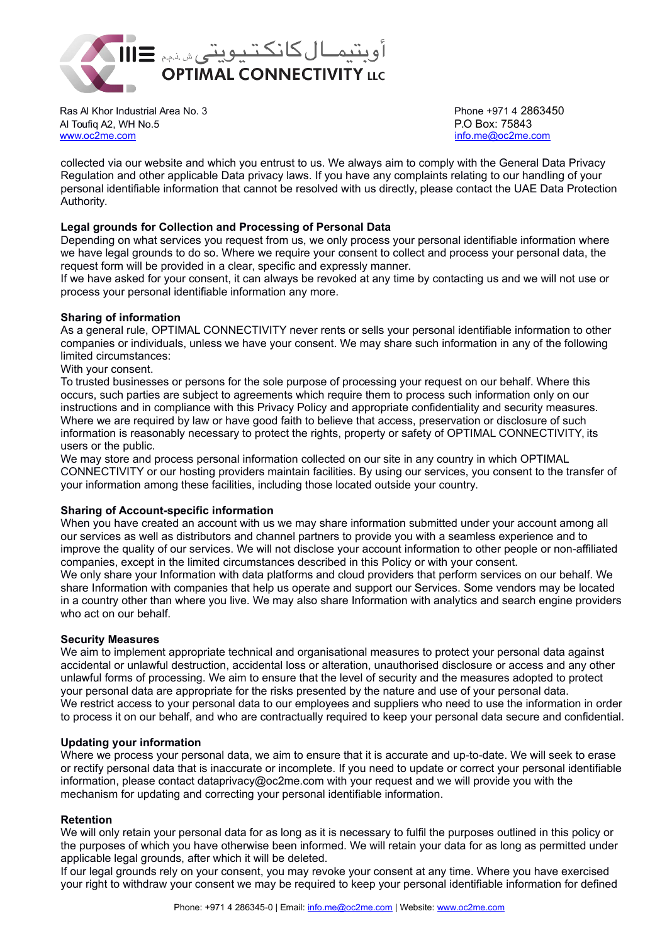

Ras Al Khor Industrial Area No. 3 and 3 and 3 Phone +971 4 2863450 Al Toufiq A2, WH No.5 P.O Box: 75843 [www.oc2me.com](http://www.oc2me.com/) [info.me@oc2me.com](mailto:info.me@oc2me.com) info.me@oc2me.com

collected via our website and which you entrust to us. We always aim to comply with the General Data Privacy Regulation and other applicable Data privacy laws. If you have any complaints relating to our handling of your personal identifiable information that cannot be resolved with us directly, please contact the UAE Data Protection Authority.

# **Legal grounds for Collection and Processing of Personal Data**

Depending on what services you request from us, we only process your personal identifiable information where we have legal grounds to do so. Where we require your consent to collect and process your personal data, the request form will be provided in a clear, specific and expressly manner.

If we have asked for your consent, it can always be revoked at any time by contacting us and we will not use or process your personal identifiable information any more.

# **Sharing of information**

As a general rule, OPTIMAL CONNECTIVITY never rents or sells your personal identifiable information to other companies or individuals, unless we have your consent. We may share such information in any of the following limited circumstances:

## With your consent.

To trusted businesses or persons for the sole purpose of processing your request on our behalf. Where this occurs, such parties are subject to agreements which require them to process such information only on our instructions and in compliance with this Privacy Policy and appropriate confidentiality and security measures. Where we are required by law or have good faith to believe that access, preservation or disclosure of such information is reasonably necessary to protect the rights, property or safety of OPTIMAL CONNECTIVITY, its users or the public.

We may store and process personal information collected on our site in any country in which OPTIMAL CONNECTIVITY or our hosting providers maintain facilities. By using our services, you consent to the transfer of your information among these facilities, including those located outside your country.

## **Sharing of Account-specific information**

When you have created an account with us we may share information submitted under your account among all our services as well as distributors and channel partners to provide you with a seamless experience and to improve the quality of our services. We will not disclose your account information to other people or non-affiliated companies, except in the limited circumstances described in this Policy or with your consent. We only share your Information with data platforms and cloud providers that perform services on our behalf. We share Information with companies that help us operate and support our Services. Some vendors may be located in a country other than where you live. We may also share Information with analytics and search engine providers who act on our behalf.

## **Security Measures**

We aim to implement appropriate technical and organisational measures to protect your personal data against accidental or unlawful destruction, accidental loss or alteration, unauthorised disclosure or access and any other unlawful forms of processing. We aim to ensure that the level of security and the measures adopted to protect your personal data are appropriate for the risks presented by the nature and use of your personal data. We restrict access to your personal data to our employees and suppliers who need to use the information in order to process it on our behalf, and who are contractually required to keep your personal data secure and confidential.

## **Updating your information**

Where we process your personal data, we aim to ensure that it is accurate and up-to-date. We will seek to erase or rectify personal data that is inaccurate or incomplete. If you need to update or correct your personal identifiable information, please contact dataprivacy@oc2me.com with your request and we will provide you with the mechanism for updating and correcting your personal identifiable information.

## **Retention**

We will only retain your personal data for as long as it is necessary to fulfil the purposes outlined in this policy or the purposes of which you have otherwise been informed. We will retain your data for as long as permitted under applicable legal grounds, after which it will be deleted.

If our legal grounds rely on your consent, you may revoke your consent at any time. Where you have exercised your right to withdraw your consent we may be required to keep your personal identifiable information for defined